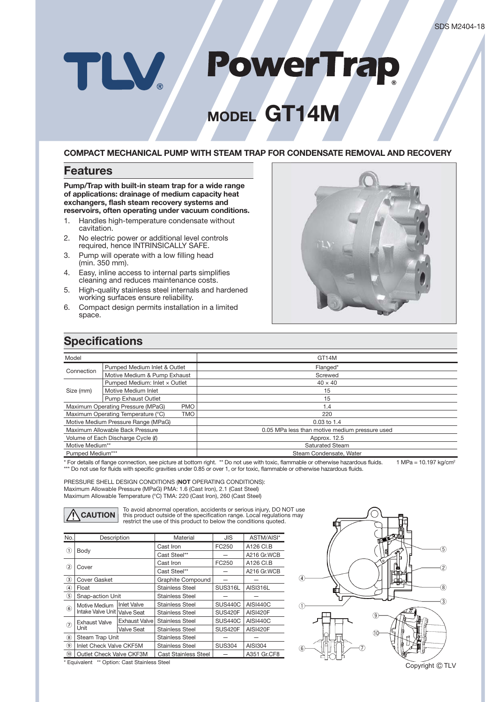# **PowerTrap** TLV

# **MODEL GT14M**

#### **COMPACT MECHANICAL PUMP WITH STEAM TRAP FOR CONDENSATE REMOVAL AND RECOVERY**

#### **Features**

**Pump/Trap with built-in steam trap for a wide range of applications: drainage of medium capacity heat exchangers, flash steam recovery systems and reservoirs, often operating under vacuum conditions.**

- 1. Handles high-temperature condensate without cavitation.
- 2. No electric power or additional level controls required, hence INTRINSICALLY SAFE.
- 3. Pump will operate with a low filling head (min. 350 mm).
- 4. Easy, inline access to internal parts simplifies cleaning and reduces maintenance costs.
- 5. High-quality stainless steel internals and hardened working surfaces ensure reliability.
- 6. Compact design permits installation in a limited space.



## **Specifications**

| Model                                            |                               | GT14M                                          |  |  |  |  |
|--------------------------------------------------|-------------------------------|------------------------------------------------|--|--|--|--|
|                                                  |                               |                                                |  |  |  |  |
| Connection                                       | Pumped Medium Inlet & Outlet  | Flanged*                                       |  |  |  |  |
|                                                  | Motive Medium & Pump Exhaust  | Screwed                                        |  |  |  |  |
| Size (mm)                                        | Pumped Medium: Inlet x Outlet | $40 \times 40$                                 |  |  |  |  |
|                                                  | Motive Medium Inlet           | 15                                             |  |  |  |  |
|                                                  | Pump Exhaust Outlet           | 15                                             |  |  |  |  |
| Maximum Operating Pressure (MPaG)<br><b>PMO</b>  |                               | 1.4                                            |  |  |  |  |
| Maximum Operating Temperature (°C)<br><b>TMO</b> |                               | 220                                            |  |  |  |  |
| Motive Medium Pressure Range (MPaG)              |                               | $0.03$ to 1.4                                  |  |  |  |  |
| Maximum Allowable Back Pressure                  |                               | 0.05 MPa less than motive medium pressure used |  |  |  |  |
| Volume of Each Discharge Cycle (0)               |                               | Approx. 12.5                                   |  |  |  |  |
| Motive Medium**                                  |                               | <b>Saturated Steam</b>                         |  |  |  |  |
| Pumped Medium***                                 |                               | Steam Condensate, Water                        |  |  |  |  |

\* For details of flange connection, see picture at bottom right. \*\* Do not use with toxic, flammable or otherwise hazardous fluids. 1 MPa = 10.197 kg/cm<sup>2</sup> \*\*\* Do not use for fluids with specific gravities under 0.85 or over 1, or for toxic, flammable or otherwise hazardous fluids.

PRESSURE SHELL DESIGN CONDITIONS (**NOT** OPERATING CONDITIONS): Maximum Allowable Pressure (MPaG) PMA: 1.6 (Cast Iron), 2.1 (Cast Steel) Maximum Allowable Temperature (°C) TMA: 220 (Cast Iron), 260 (Cast Steel)

To avoid abnormal operation, accidents or serious injury, DO NOT use<br>this product outside of the specification range. Local regulations may<br>restrict the use of this product to below the conditions quoted.

| No.                            | Description                        |                    | Material                    | JIS            | ASTM/AISI*      |  |
|--------------------------------|------------------------------------|--------------------|-----------------------------|----------------|-----------------|--|
|                                |                                    |                    | Cast Iron                   | FC250          | A126 CI.B       |  |
| $\textcircled{\scriptsize{1}}$ | Body                               |                    | Cast Steel**                |                | A216 Gr.WCB     |  |
| $\circled{2}$                  | Cover                              |                    | Cast Iron                   | FC250          | A126 CI.B       |  |
|                                |                                    |                    | Cast Steel**                |                | A216 Gr.WCB     |  |
| $\circled{3}$                  | <b>Cover Gasket</b>                |                    | Graphite Compound           |                |                 |  |
| ④                              | Float                              |                    | <b>Stainless Steel</b>      | SUS316L        | <b>AISI316L</b> |  |
| $\circled{5}$                  | Snap-action Unit                   |                    | <b>Stainless Steel</b>      |                |                 |  |
| $\circledast$                  | Motive Medium<br>Intake Valve Unit | <b>Inlet Valve</b> | <b>Stainless Steel</b>      | <b>SUS440C</b> | <b>AISI440C</b> |  |
|                                |                                    | <b>Valve Seat</b>  | <b>Stainless Steel</b>      | <b>SUS420F</b> | <b>AISI420F</b> |  |
| ⑦                              | <b>Exhaust Valve</b><br>Unit       | Exhaust Valve      | <b>Stainless Steel</b>      | <b>SUS440C</b> | <b>AISI440C</b> |  |
|                                |                                    | Valve Seat         | <b>Stainless Steel</b>      | <b>SUS420F</b> | <b>AISI420F</b> |  |
| $\circledR$                    | Steam Trap Unit                    |                    | <b>Stainless Steel</b>      |                |                 |  |
| $\circledcirc$                 | Inlet Check Valve CKF5M            |                    | <b>Stainless Steel</b>      | <b>SUS304</b>  | AISI304         |  |
| (10)                           | Outlet Check Valve CKF3M           |                    | <b>Cast Stainless Steel</b> |                | A351 Gr.CF8     |  |
|                                | .                                  |                    |                             |                |                 |  |



Equivalent \*\* Option: Cast Stainless Stee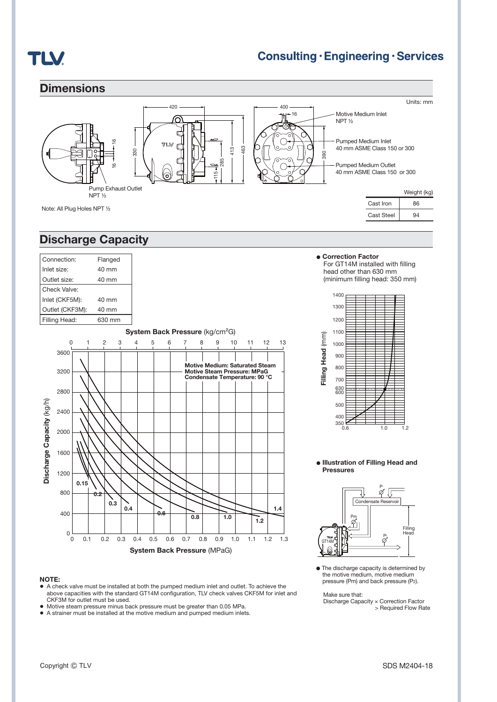

### **Consulting · Engineering · Services**



#### ● **Illustration of Filling Head and Pressures**



● The discharge capacity is determined by the motive medium, motive medium pressure (Pm) and back pressure (P2).

Make sure that:

**1.4**

Discharge Capacity × Correction Factor > Required Flow Rate

#### **NOTE:**

 $0\frac{L}{0}$ 

 $400$ 

800

**0.2**

**0.15**

1200

**●** A check valve must be installed at both the pumped medium inlet and outlet. To achieve the above capacities with the standard GT14M configuration, TLV check valves CKF5M for inlet and CKE3M for outlet must be used.

0.1 0.3 0.5 0.6 0.7 0.8 0.9 1.0 1.1

**System Back Pressure** (MPaG)

0 0.1 0.2 0.3 0.4 0.5 0.6 0.7 0.8 0.9 1.0 1.1 1.2 1.3

**1.2 0.8 1.0 0.6**

**●** Motive steam pressure minus back pressure must be greater than 0.05 MPa.

**0.4 0.3**

● A strainer must be installed at the motive medium and pumped medium inlets.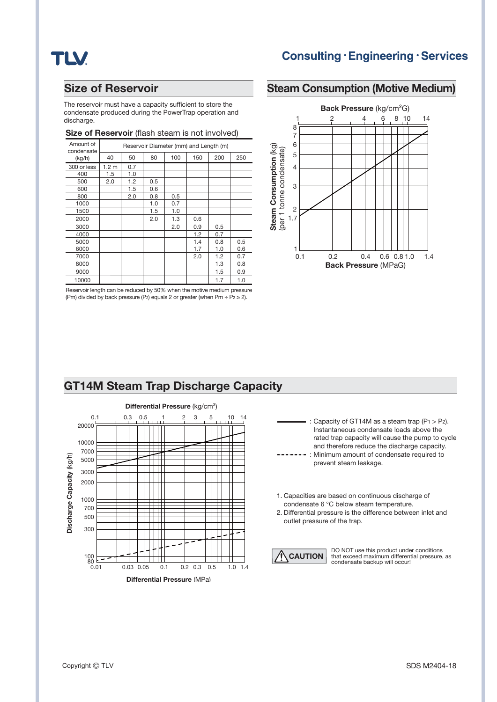## **TLV**

### **Consulting · Engineering · Services**

**Steam Consumption (Motive Medium)**

### **Size of Reservoir**

The reservoir must have a capacity sufficient to store the condensate produced during the PowerTrap operation and discharge.

#### **Size of Reservoir** (flash steam is not involved)

| Amount of<br>condensate | Reservoir Diameter (mm) and Length (m) |     |     |     |     |     |     |  |
|-------------------------|----------------------------------------|-----|-----|-----|-----|-----|-----|--|
| (kg/h)                  | 40                                     | 50  | 80  | 100 | 150 | 200 | 250 |  |
| 300 or less             | 1.2 <sub>m</sub>                       | 0.7 |     |     |     |     |     |  |
| 400                     | 1.5                                    | 1.0 |     |     |     |     |     |  |
| 500                     | 2.0                                    | 1.2 | 0.5 |     |     |     |     |  |
| 600                     |                                        | 1.5 | 0.6 |     |     |     |     |  |
| 800                     |                                        | 2.0 | 0.8 | 0.5 |     |     |     |  |
| 1000                    |                                        |     | 1.0 | 0.7 |     |     |     |  |
| 1500                    |                                        |     | 1.5 | 1.0 |     |     |     |  |
| 2000                    |                                        |     | 2.0 | 1.3 | 0.6 |     |     |  |
| 3000                    |                                        |     |     | 2.0 | 0.9 | 0.5 |     |  |
| 4000                    |                                        |     |     |     | 1.2 | 0.7 |     |  |
| 5000                    |                                        |     |     |     | 1.4 | 0.8 | 0.5 |  |
| 6000                    |                                        |     |     |     | 1.7 | 1.0 | 0.6 |  |
| 7000                    |                                        |     |     |     | 2.0 | 1.2 | 0.7 |  |
| 8000                    |                                        |     |     |     |     | 1.3 | 0.8 |  |
| 9000                    |                                        |     |     |     |     | 1.5 | 0.9 |  |
| 10000                   |                                        |     |     |     |     | 1.7 | 1.0 |  |

Reservoir length can be reduced by 50% when the motive medium pressure (Pm) divided by back pressure (P<sub>2</sub>) equals 2 or greater (when Pm ÷ P<sub>2</sub> ≥ 2).



#### **GT14M Steam Trap Discharge Capacity**





- 1. Capacities are based on continuous discharge of condensate 6 °C below steam temperature.
- 2. Differential pressure is the difference between inlet and outlet pressure of the trap.



**CAUTION** DO NOT use this product under conditions<br>
condensate backup will occur!<br>
condensate backup will occur!